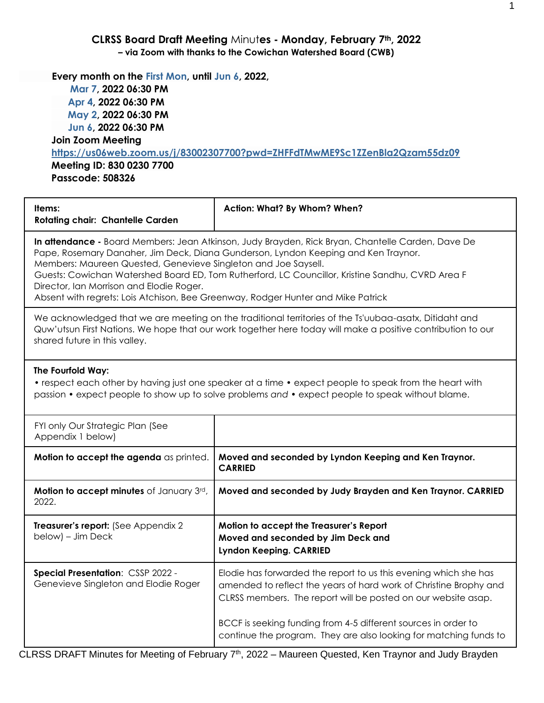### **CLRSS Board Draft Meeting** Minut**es - Monday, February 7th, 2022 – via Zoom with thanks to the Cowichan Watershed Board (CWB)**

**Every month on the First Mon, until Jun 6, 2022,**

 **Mar 7, 2022 06:30 PM Apr 4, 2022 06:30 PM May 2, 2022 06:30 PM Jun 6, 2022 06:30 PM Join Zoom Meeting <https://us06web.zoom.us/j/83002307700?pwd=ZHFFdTMwME9Sc1ZZenBla2Qzam55dz09> Meeting ID: 830 0230 7700 Passcode: 508326**

| Items:<br><b>Rotating chair: Chantelle Carden</b>                                                                                                                                                                                                                                                                                                                                                                                                                                             | Action: What? By Whom? When?                                                                                                                                                                                          |  |  |
|-----------------------------------------------------------------------------------------------------------------------------------------------------------------------------------------------------------------------------------------------------------------------------------------------------------------------------------------------------------------------------------------------------------------------------------------------------------------------------------------------|-----------------------------------------------------------------------------------------------------------------------------------------------------------------------------------------------------------------------|--|--|
| In attendance - Board Members: Jean Atkinson, Judy Brayden, Rick Bryan, Chantelle Carden, Dave De<br>Pape, Rosemary Danaher, Jim Deck, Diana Gunderson, Lyndon Keeping and Ken Traynor.<br>Members: Maureen Quested, Genevieve Singleton and Joe Saysell.<br>Guests: Cowichan Watershed Board ED, Tom Rutherford, LC Councillor, Kristine Sandhu, CVRD Area F<br>Director, Ian Morrison and Elodie Roger.<br>Absent with regrets: Lois Atchison, Bee Greenway, Rodger Hunter and Mike Patrick |                                                                                                                                                                                                                       |  |  |
| shared future in this valley.                                                                                                                                                                                                                                                                                                                                                                                                                                                                 | We acknowledged that we are meeting on the traditional territories of the Ts'uubaa-asatx, Ditidaht and<br>Quw'utsun First Nations. We hope that our work together here today will make a positive contribution to our |  |  |
| The Fourfold Way:<br>• respect each other by having just one speaker at a time • expect people to speak from the heart with<br>passion • expect people to show up to solve problems and • expect people to speak without blame.                                                                                                                                                                                                                                                               |                                                                                                                                                                                                                       |  |  |
| FYI only Our Strategic Plan (See<br>Appendix 1 below)                                                                                                                                                                                                                                                                                                                                                                                                                                         |                                                                                                                                                                                                                       |  |  |
| Motion to accept the agenda as printed.                                                                                                                                                                                                                                                                                                                                                                                                                                                       | Moved and seconded by Lyndon Keeping and Ken Traynor.<br><b>CARRIED</b>                                                                                                                                               |  |  |
| Motion to accept minutes of January 3rd,<br>2022.                                                                                                                                                                                                                                                                                                                                                                                                                                             | Moved and seconded by Judy Brayden and Ken Traynor. CARRIED                                                                                                                                                           |  |  |
| Treasurer's report: (See Appendix 2<br>below) – Jim Deck                                                                                                                                                                                                                                                                                                                                                                                                                                      | Motion to accept the Treasurer's Report<br>Moved and seconded by Jim Deck and<br><b>Lyndon Keeping. CARRIED</b>                                                                                                       |  |  |
| <b>Special Presentation: CSSP 2022 -</b><br>Genevieve Singleton and Elodie Roger                                                                                                                                                                                                                                                                                                                                                                                                              | Elodie has forwarded the report to us this evening which she has<br>amended to reflect the years of hard work of Christine Brophy and<br>CLRSS members. The report will be posted on our website asap.                |  |  |
| BCCF is seeking funding from 4-5 different sources in order to<br>continue the program. They are also looking for matching funds to                                                                                                                                                                                                                                                                                                                                                           |                                                                                                                                                                                                                       |  |  |

CLRSS DRAFT Minutes for Meeting of February 7th, 2022 – Maureen Quested, Ken Traynor and Judy Brayden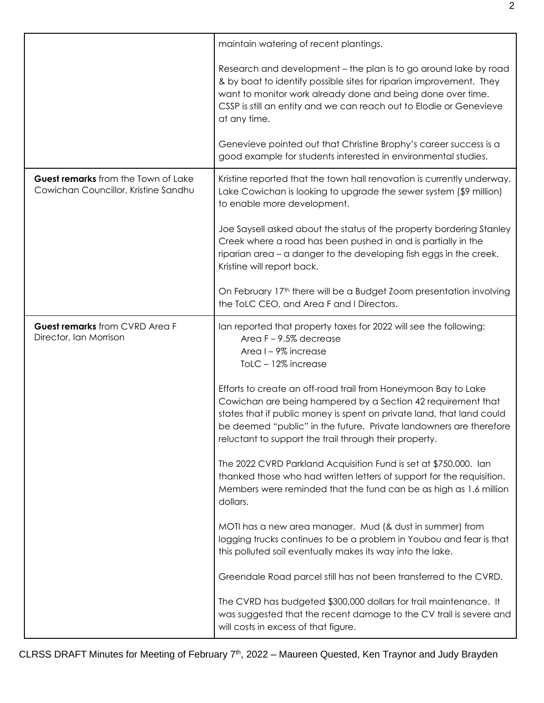|                                                                             | maintain watering of recent plantings.                                                                                                                                                                                                                                                                                                  |
|-----------------------------------------------------------------------------|-----------------------------------------------------------------------------------------------------------------------------------------------------------------------------------------------------------------------------------------------------------------------------------------------------------------------------------------|
|                                                                             | Research and development - the plan is to go around lake by road<br>& by boat to identify possible sites for riparian improvement. They<br>want to monitor work already done and being done over time.<br>CSSP is still an entity and we can reach out to Elodie or Genevieve<br>at any time.                                           |
|                                                                             | Genevieve pointed out that Christine Brophy's career success is a<br>good example for students interested in environmental studies.                                                                                                                                                                                                     |
| Guest remarks from the Town of Lake<br>Cowichan Councillor, Kristine Sandhu | Kristine reported that the town hall renovation is currently underway.<br>Lake Cowichan is looking to upgrade the sewer system (\$9 million)<br>to enable more development.                                                                                                                                                             |
|                                                                             | Joe Saysell asked about the status of the property bordering Stanley<br>Creek where a road has been pushed in and is partially in the<br>riparian area - a danger to the developing fish eggs in the creek.<br>Kristine will report back.                                                                                               |
|                                                                             | On February 17 <sup>th</sup> there will be a Budget Zoom presentation involving<br>the ToLC CEO, and Area F and I Directors.                                                                                                                                                                                                            |
| Guest remarks from CVRD Area F<br>Director, Ian Morrison                    | Ian reported that property taxes for 2022 will see the following:<br>Area $F - 9.5\%$ decrease<br>Area I-9% increase<br>ToLC - 12% increase                                                                                                                                                                                             |
|                                                                             | Efforts to create an off-road trail from Honeymoon Bay to Lake<br>Cowichan are being hampered by a Section 42 requirement that<br>states that if public money is spent on private land, that land could<br>be deemed "public" in the future. Private landowners are therefore<br>reluctant to support the trail through their property. |
|                                                                             | The 2022 CVRD Parkland Acquisition Fund is set at \$750,000. Ian<br>thanked those who had written letters of support for the requisition.<br>Members were reminded that the fund can be as high as 1.6 million<br>dollars.                                                                                                              |
|                                                                             | MOTI has a new area manager. Mud (& dust in summer) from<br>logging trucks continues to be a problem in Youbou and fear is that<br>this polluted soil eventually makes its way into the lake.                                                                                                                                           |
|                                                                             | Greendale Road parcel still has not been transferred to the CVRD.                                                                                                                                                                                                                                                                       |
|                                                                             | The CVRD has budgeted \$300,000 dollars for trail maintenance. It<br>was suggested that the recent damage to the CV trail is severe and<br>will costs in excess of that figure.                                                                                                                                                         |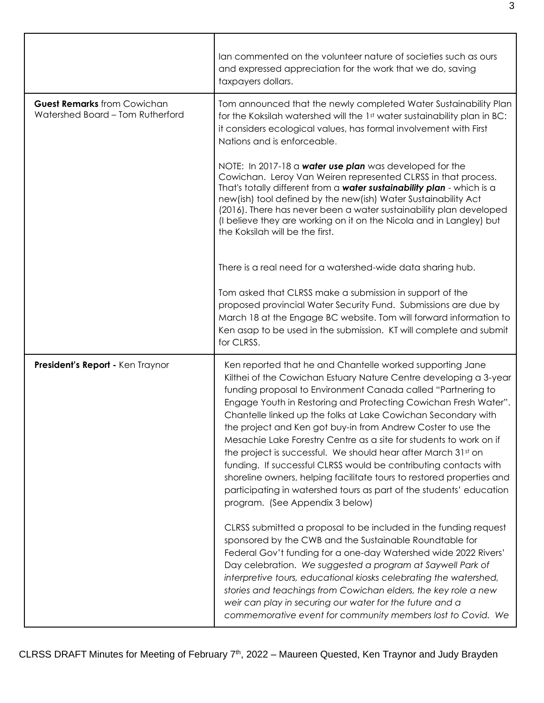|                                                                        | lan commented on the volunteer nature of societies such as ours<br>and expressed appreciation for the work that we do, saving<br>taxpayers dollars.                                                                                                                                                                                                                                                                                                                                                                                                                                                                                                                                                                                                                                              |
|------------------------------------------------------------------------|--------------------------------------------------------------------------------------------------------------------------------------------------------------------------------------------------------------------------------------------------------------------------------------------------------------------------------------------------------------------------------------------------------------------------------------------------------------------------------------------------------------------------------------------------------------------------------------------------------------------------------------------------------------------------------------------------------------------------------------------------------------------------------------------------|
| <b>Guest Remarks</b> from Cowichan<br>Watershed Board - Tom Rutherford | Tom announced that the newly completed Water Sustainability Plan<br>for the Koksilah watershed will the 1st water sustainability plan in BC:<br>it considers ecological values, has formal involvement with First<br>Nations and is enforceable.                                                                                                                                                                                                                                                                                                                                                                                                                                                                                                                                                 |
|                                                                        | NOTE: In 2017-18 a water use plan was developed for the<br>Cowichan. Leroy Van Weiren represented CLRSS in that process.<br>That's totally different from a water sustainability plan - which is a<br>new(ish) tool defined by the new(ish) Water Sustainability Act<br>(2016). There has never been a water sustainability plan developed<br>(I believe they are working on it on the Nicola and in Langley) but<br>the Koksilah will be the first.                                                                                                                                                                                                                                                                                                                                             |
|                                                                        | There is a real need for a watershed-wide data sharing hub.                                                                                                                                                                                                                                                                                                                                                                                                                                                                                                                                                                                                                                                                                                                                      |
|                                                                        | Tom asked that CLRSS make a submission in support of the<br>proposed provincial Water Security Fund. Submissions are due by<br>March 18 at the Engage BC website. Tom will forward information to<br>Ken asap to be used in the submission. KT will complete and submit<br>for CLRSS.                                                                                                                                                                                                                                                                                                                                                                                                                                                                                                            |
| President's Report - Ken Traynor                                       | Ken reported that he and Chantelle worked supporting Jane<br>Kilthei of the Cowichan Estuary Nature Centre developing a 3-year<br>funding proposal to Environment Canada called "Partnering to<br>Engage Youth in Restoring and Protecting Cowichan Fresh Water".<br>Chantelle linked up the folks at Lake Cowichan Secondary with<br>the project and Ken got buy-in from Andrew Coster to use the<br>Mesachie Lake Forestry Centre as a site for students to work on if<br>the project is successful. We should hear after March 31st on<br>funding. If successful CLRSS would be contributing contacts with<br>shoreline owners, helping facilitate tours to restored properties and<br>participating in watershed tours as part of the students' education<br>program. (See Appendix 3 below) |
|                                                                        | CLRSS submitted a proposal to be included in the funding request<br>sponsored by the CWB and the Sustainable Roundtable for<br>Federal Gov't funding for a one-day Watershed wide 2022 Rivers'<br>Day celebration. We suggested a program at Saywell Park of<br>interpretive tours, educational kiosks celebrating the watershed,<br>stories and teachings from Cowichan elders, the key role a new<br>weir can play in securing our water for the future and a<br>commemorative event for community members lost to Covid. We                                                                                                                                                                                                                                                                   |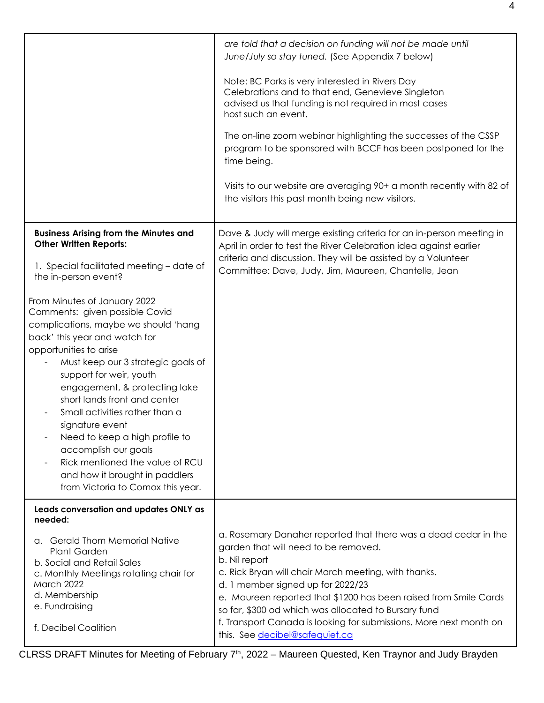|                                                                                                                                                                                                                                                                                                                                                                                                                                                                                                                              | are told that a decision on funding will not be made until<br>June/July so stay tuned. (See Appendix 7 below)                                                                                                                                                                                                                                                                                                                                             |
|------------------------------------------------------------------------------------------------------------------------------------------------------------------------------------------------------------------------------------------------------------------------------------------------------------------------------------------------------------------------------------------------------------------------------------------------------------------------------------------------------------------------------|-----------------------------------------------------------------------------------------------------------------------------------------------------------------------------------------------------------------------------------------------------------------------------------------------------------------------------------------------------------------------------------------------------------------------------------------------------------|
|                                                                                                                                                                                                                                                                                                                                                                                                                                                                                                                              | Note: BC Parks is very interested in Rivers Day<br>Celebrations and to that end, Genevieve Singleton<br>advised us that funding is not required in most cases<br>host such an event.                                                                                                                                                                                                                                                                      |
|                                                                                                                                                                                                                                                                                                                                                                                                                                                                                                                              | The on-line zoom webinar highlighting the successes of the CSSP<br>program to be sponsored with BCCF has been postponed for the<br>time being.                                                                                                                                                                                                                                                                                                            |
|                                                                                                                                                                                                                                                                                                                                                                                                                                                                                                                              | Visits to our website are averaging 90+ a month recently with 82 of<br>the visitors this past month being new visitors.                                                                                                                                                                                                                                                                                                                                   |
| <b>Business Arising from the Minutes and</b><br><b>Other Written Reports:</b><br>1. Special facilitated meeting - date of<br>the in-person event?                                                                                                                                                                                                                                                                                                                                                                            | Dave & Judy will merge existing criteria for an in-person meeting in<br>April in order to test the River Celebration idea against earlier<br>criteria and discussion. They will be assisted by a Volunteer<br>Committee: Dave, Judy, Jim, Maureen, Chantelle, Jean                                                                                                                                                                                        |
| From Minutes of January 2022<br>Comments: given possible Covid<br>complications, maybe we should 'hang<br>back' this year and watch for<br>opportunities to arise<br>Must keep our 3 strategic goals of<br>support for weir, youth<br>engagement, & protecting lake<br>short lands front and center<br>Small activities rather than a<br>signature event<br>Need to keep a high profile to<br>accomplish our goals<br>Rick mentioned the value of RCU<br>and how it brought in paddlers<br>from Victoria to Comox this year. |                                                                                                                                                                                                                                                                                                                                                                                                                                                           |
| Leads conversation and updates ONLY as<br>needed:<br>a. Gerald Thom Memorial Native<br><b>Plant Garden</b><br>b. Social and Retail Sales<br>c. Monthly Meetings rotating chair for<br>March 2022<br>d. Membership<br>e. Fundraising<br>f. Decibel Coalition                                                                                                                                                                                                                                                                  | a. Rosemary Danaher reported that there was a dead cedar in the<br>garden that will need to be removed.<br>b. Nil report<br>c. Rick Bryan will chair March meeting, with thanks.<br>d. 1 member signed up for 2022/23<br>e. Maureen reported that \$1200 has been raised from Smile Cards<br>so far, \$300 od which was allocated to Bursary fund<br>f. Transport Canada is looking for submissions. More next month on<br>this. See decibel@safequiet.ca |

CLRSS DRAFT Minutes for Meeting of February 7<sup>th</sup>, 2022 – Maureen Quested, Ken Traynor and Judy Brayden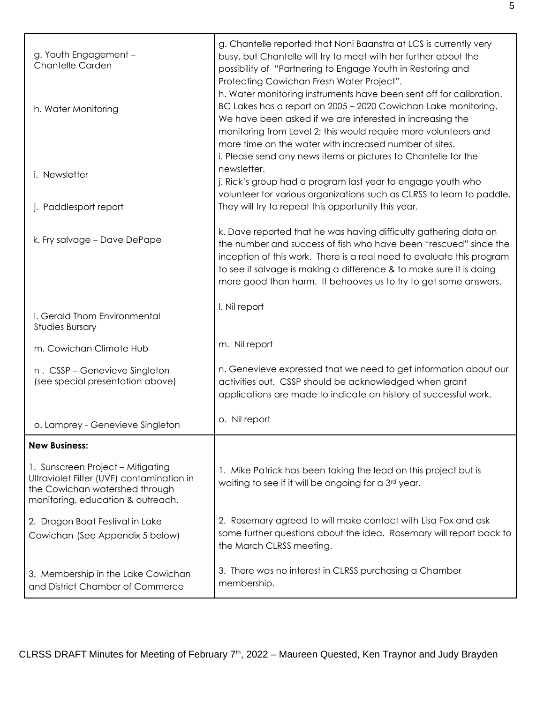| g. Youth Engagement -<br><b>Chantelle Carden</b>                                                                                                      | g. Chantelle reported that Noni Baanstra at LCS is currently very<br>busy, but Chantelle will try to meet with her further about the<br>possibility of "Partnering to Engage Youth in Restoring and<br>Protecting Cowichan Fresh Water Project".<br>h. Water monitoring instruments have been sent off for calibration.                                 |
|-------------------------------------------------------------------------------------------------------------------------------------------------------|---------------------------------------------------------------------------------------------------------------------------------------------------------------------------------------------------------------------------------------------------------------------------------------------------------------------------------------------------------|
| h. Water Monitoring                                                                                                                                   | BC Lakes has a report on 2005 - 2020 Cowichan Lake monitoring.<br>We have been asked if we are interested in increasing the<br>monitoring from Level 2; this would require more volunteers and<br>more time on the water with increased number of sites.<br>i. Please send any news items or pictures to Chantelle for the                              |
| i. Newsletter<br>j. Paddlesport report                                                                                                                | newsletter.<br>j. Rick's group had a program last year to engage youth who<br>volunteer for various organizations such as CLRSS to learn to paddle.<br>They will try to repeat this opportunity this year.                                                                                                                                              |
|                                                                                                                                                       |                                                                                                                                                                                                                                                                                                                                                         |
| k. Fry salvage - Dave DePape                                                                                                                          | k. Dave reported that he was having difficulty gathering data on<br>the number and success of fish who have been "rescued" since the<br>inception of this work. There is a real need to evaluate this program<br>to see if salvage is making a difference & to make sure it is doing<br>more good than harm. It behooves us to try to get some answers. |
| I. Gerald Thom Environmental<br><b>Studies Bursary</b>                                                                                                | I. Nil report                                                                                                                                                                                                                                                                                                                                           |
| m. Cowichan Climate Hub                                                                                                                               | m. Nil report                                                                                                                                                                                                                                                                                                                                           |
| n. CSSP - Genevieve Singleton<br>(see special presentation above)                                                                                     | n. Genevieve expressed that we need to get information about our<br>activities out. CSSP should be acknowledged when grant<br>applications are made to indicate an history of successful work.                                                                                                                                                          |
| o. Lamprey - Genevieve Singleton                                                                                                                      | o. Nil report                                                                                                                                                                                                                                                                                                                                           |
| <b>New Business:</b>                                                                                                                                  |                                                                                                                                                                                                                                                                                                                                                         |
| 1. Sunscreen Project - Mitigating<br>Ultraviolet Filter (UVF) contamination in<br>the Cowichan watershed through<br>monitoring, education & outreach. | 1. Mike Patrick has been taking the lead on this project but is<br>waiting to see if it will be ongoing for a 3 <sup>rd</sup> year.                                                                                                                                                                                                                     |
| 2. Dragon Boat Festival in Lake<br>Cowichan (See Appendix 5 below)                                                                                    | 2. Rosemary agreed to will make contact with Lisa Fox and ask<br>some further questions about the idea. Rosemary will report back to<br>the March CLRSS meeting.                                                                                                                                                                                        |
| 3. Membership in the Lake Cowichan<br>and District Chamber of Commerce                                                                                | 3. There was no interest in CLRSS purchasing a Chamber<br>membership.                                                                                                                                                                                                                                                                                   |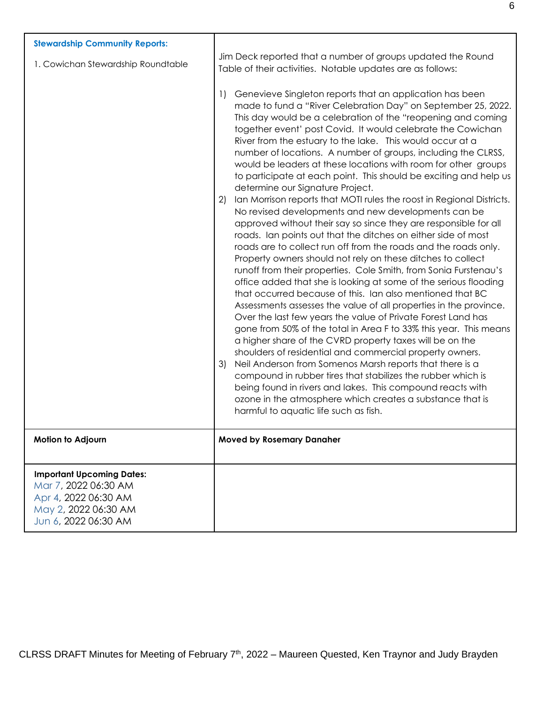| <b>Stewardship Community Reports:</b>                                                                                            |                                                                                                                                                                                                                                                                                                                                                                                                                                                                                                                                                                                                                                                                                                                                                                                                                                                                                                                                                  |
|----------------------------------------------------------------------------------------------------------------------------------|--------------------------------------------------------------------------------------------------------------------------------------------------------------------------------------------------------------------------------------------------------------------------------------------------------------------------------------------------------------------------------------------------------------------------------------------------------------------------------------------------------------------------------------------------------------------------------------------------------------------------------------------------------------------------------------------------------------------------------------------------------------------------------------------------------------------------------------------------------------------------------------------------------------------------------------------------|
| 1. Cowichan Stewardship Roundtable                                                                                               | Jim Deck reported that a number of groups updated the Round<br>Table of their activities. Notable updates are as follows:                                                                                                                                                                                                                                                                                                                                                                                                                                                                                                                                                                                                                                                                                                                                                                                                                        |
|                                                                                                                                  | Genevieve Singleton reports that an application has been<br>1)<br>made to fund a "River Celebration Day" on September 25, 2022.<br>This day would be a celebration of the "reopening and coming<br>together event' post Covid. It would celebrate the Cowichan<br>River from the estuary to the lake. This would occur at a<br>number of locations. A number of groups, including the CLRSS,<br>would be leaders at these locations with room for other groups<br>to participate at each point. This should be exciting and help us<br>determine our Signature Project.                                                                                                                                                                                                                                                                                                                                                                          |
|                                                                                                                                  | Ian Morrison reports that MOTI rules the roost in Regional Districts.<br>2)<br>No revised developments and new developments can be<br>approved without their say so since they are responsible for all<br>roads. Ian points out that the ditches on either side of most<br>roads are to collect run off from the roads and the roads only.<br>Property owners should not rely on these ditches to collect<br>runoff from their properties. Cole Smith, from Sonia Furstenau's<br>office added that she is looking at some of the serious flooding<br>that occurred because of this. Ian also mentioned that BC<br>Assessments assesses the value of all properties in the province.<br>Over the last few years the value of Private Forest Land has<br>gone from 50% of the total in Area F to 33% this year. This means<br>a higher share of the CVRD property taxes will be on the<br>shoulders of residential and commercial property owners. |
|                                                                                                                                  | Neil Anderson from Somenos Marsh reports that there is a<br>3)<br>compound in rubber tires that stabilizes the rubber which is<br>being found in rivers and lakes. This compound reacts with<br>ozone in the atmosphere which creates a substance that is<br>harmful to aquatic life such as fish.                                                                                                                                                                                                                                                                                                                                                                                                                                                                                                                                                                                                                                               |
| Motion to Adjourn                                                                                                                | <b>Moved by Rosemary Danaher</b>                                                                                                                                                                                                                                                                                                                                                                                                                                                                                                                                                                                                                                                                                                                                                                                                                                                                                                                 |
| <b>Important Upcoming Dates:</b><br>Mar 7, 2022 06:30 AM<br>Apr 4, 2022 06:30 AM<br>May 2, 2022 06:30 AM<br>Jun 6, 2022 06:30 AM |                                                                                                                                                                                                                                                                                                                                                                                                                                                                                                                                                                                                                                                                                                                                                                                                                                                                                                                                                  |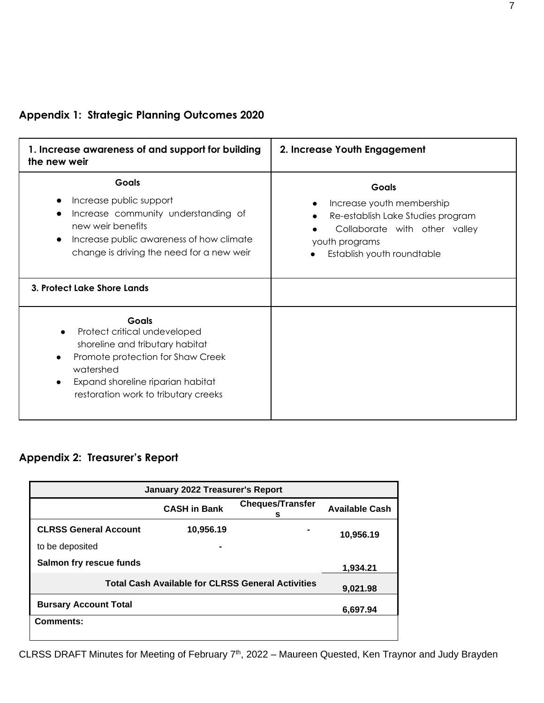| 1. Increase awareness of and support for building<br>the new weir                                                                                                                                                    | 2. Increase Youth Engagement                                                                                                                             |
|----------------------------------------------------------------------------------------------------------------------------------------------------------------------------------------------------------------------|----------------------------------------------------------------------------------------------------------------------------------------------------------|
| Goals<br>Increase public support<br>Increase community understanding of<br>new weir benefits<br>Increase public awareness of how climate<br>$\bullet$<br>change is driving the need for a new weir                   | Goals<br>Increase youth membership<br>Re-establish Lake Studies program<br>Collaborate with other valley<br>youth programs<br>Establish youth roundtable |
| 3. Protect Lake Shore Lands                                                                                                                                                                                          |                                                                                                                                                          |
| Goals<br>Protect critical undeveloped<br>shoreline and tributary habitat<br>Promote protection for Shaw Creek<br>watershed<br>Expand shoreline riparian habitat<br>$\bullet$<br>restoration work to tributary creeks |                                                                                                                                                          |

# **Appendix 1: Strategic Planning Outcomes 2020**

## **Appendix 2: Treasurer's Report**

| January 2022 Treasurer's Report                          |                     |                              |                       |
|----------------------------------------------------------|---------------------|------------------------------|-----------------------|
|                                                          | <b>CASH in Bank</b> | <b>Cheques/Transfer</b><br>s | <b>Available Cash</b> |
| <b>CLRSS General Account</b>                             | 10,956.19           |                              | 10,956.19             |
| to be deposited                                          |                     |                              |                       |
| <b>Salmon fry rescue funds</b>                           |                     |                              | 1,934.21              |
| <b>Total Cash Available for CLRSS General Activities</b> | 9,021.98            |                              |                       |
| <b>Bursary Account Total</b>                             |                     |                              | 6,697.94              |
| Comments:                                                |                     |                              |                       |
|                                                          |                     |                              |                       |

CLRSS DRAFT Minutes for Meeting of February 7<sup>th</sup>, 2022 – Maureen Quested, Ken Traynor and Judy Brayden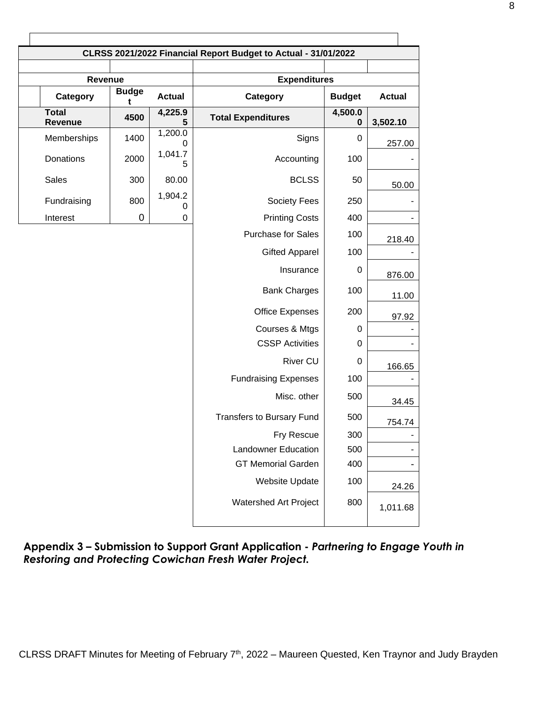|                         | CLRSS 2021/2022 Financial Report Budget to Actual - 31/01/2022 |                           |                                  |                  |               |  |
|-------------------------|----------------------------------------------------------------|---------------------------|----------------------------------|------------------|---------------|--|
|                         |                                                                |                           |                                  |                  |               |  |
|                         | Revenue                                                        |                           | <b>Expenditures</b>              |                  |               |  |
| Category                | <b>Budge</b><br>t                                              | <b>Actual</b>             | Category                         | <b>Budget</b>    | <b>Actual</b> |  |
| <b>Total</b><br>Revenue | 4500                                                           | $\overline{4,}225.9$<br>5 | <b>Total Expenditures</b>        | 4,500.0<br>0     | 3,502.10      |  |
| Memberships             | 1400                                                           | 1,200.0<br>0              | Signs                            | 0                | 257.00        |  |
| Donations               | 2000                                                           | 1,041.7<br>5              | Accounting                       | 100              |               |  |
| Sales                   | 300                                                            | 80.00                     | <b>BCLSS</b>                     | 50               | 50.00         |  |
| Fundraising             | 800                                                            | 1,904.2<br>0              | Society Fees                     | 250              |               |  |
| Interest                | $\mathbf 0$                                                    | 0                         | <b>Printing Costs</b>            | 400              |               |  |
|                         |                                                                |                           | <b>Purchase for Sales</b>        | 100              | 218.40        |  |
|                         |                                                                |                           | <b>Gifted Apparel</b>            | 100              |               |  |
|                         |                                                                |                           | Insurance                        | $\boldsymbol{0}$ | 876.00        |  |
|                         |                                                                |                           | <b>Bank Charges</b>              | 100              | 11.00         |  |
|                         |                                                                |                           | <b>Office Expenses</b>           | 200              | 97.92         |  |
|                         |                                                                |                           | Courses & Mtgs                   | $\mathbf 0$      |               |  |
|                         |                                                                |                           | <b>CSSP Activities</b>           | 0                |               |  |
|                         |                                                                |                           | <b>River CU</b>                  | 0                | 166.65        |  |
|                         |                                                                |                           | <b>Fundraising Expenses</b>      | 100              |               |  |
|                         |                                                                |                           | Misc. other                      | 500              | 34.45         |  |
|                         |                                                                |                           | <b>Transfers to Bursary Fund</b> | 500              | 754.74        |  |
|                         |                                                                |                           | Fry Rescue                       | 300              |               |  |
|                         |                                                                |                           | <b>Landowner Education</b>       | 500              |               |  |
|                         |                                                                |                           | <b>GT Memorial Garden</b>        | 400              |               |  |
|                         |                                                                |                           | <b>Website Update</b>            | 100              | 24.26         |  |
|                         |                                                                |                           | Watershed Art Project            | 800              | 1,011.68      |  |

**Appendix 3 – Submission to Support Grant Application -** *Partnering to Engage Youth in Restoring and Protecting Cowichan Fresh Water Project.*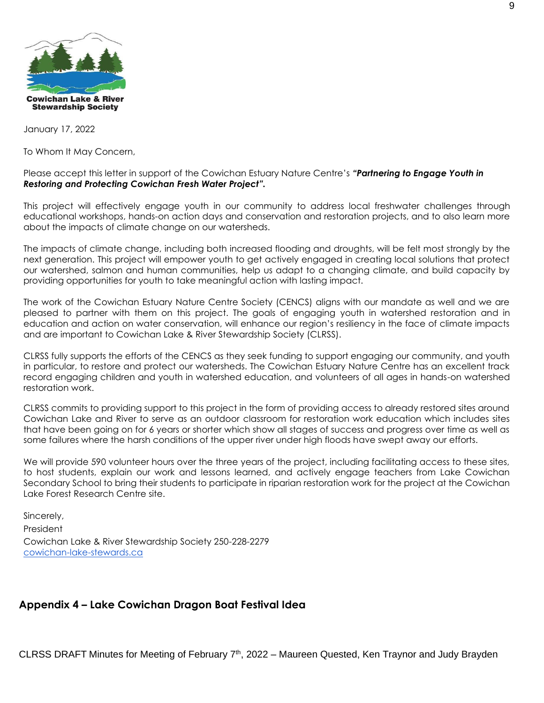

January 17, 2022

To Whom It May Concern,

Please accept this letter in support of the Cowichan Estuary Nature Centre's *"Partnering to Engage Youth in Restoring and Protecting Cowichan Fresh Water Project".*

This project will effectively engage youth in our community to address local freshwater challenges through educational workshops, hands-on action days and conservation and restoration projects, and to also learn more about the impacts of climate change on our watersheds.

The impacts of climate change, including both increased flooding and droughts, will be felt most strongly by the next generation. This project will empower youth to get actively engaged in creating local solutions that protect our watershed, salmon and human communities, help us adapt to a changing climate, and build capacity by providing opportunities for youth to take meaningful action with lasting impact.

The work of the Cowichan Estuary Nature Centre Society (CENCS) aligns with our mandate as well and we are pleased to partner with them on this project. The goals of engaging youth in watershed restoration and in education and action on water conservation, will enhance our region's resiliency in the face of climate impacts and are important to Cowichan Lake & River Stewardship Society (CLRSS).

CLRSS fully supports the efforts of the CENCS as they seek funding to support engaging our community, and youth in particular, to restore and protect our watersheds. The Cowichan Estuary Nature Centre has an excellent track record engaging children and youth in watershed education, and volunteers of all ages in hands-on watershed restoration work.

CLRSS commits to providing support to this project in the form of providing access to already restored sites around Cowichan Lake and River to serve as an outdoor classroom for restoration work education which includes sites that have been going on for 6 years or shorter which show all stages of success and progress over time as well as some failures where the harsh conditions of the upper river under high floods have swept away our efforts.

We will provide 590 volunteer hours over the three years of the project, including facilitating access to these sites, to host students, explain our work and lessons learned, and actively engage teachers from Lake Cowichan Secondary School to bring their students to participate in riparian restoration work for the project at the Cowichan Lake Forest Research Centre site.

Sincerely, President Cowichan Lake & River Stewardship Society 250-228-2279 [cowichan-lake-stewards.ca](http://cowichan-lake-stewards.ca/)

### **Appendix 4 – Lake Cowichan Dragon Boat Festival Idea**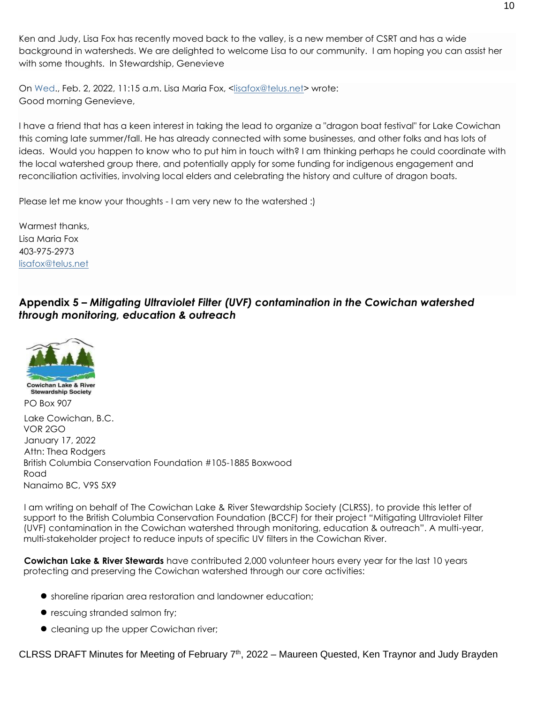Ken and Judy, Lisa Fox has recently moved back to the valley, is a new member of CSRT and has a wide background in watersheds. We are delighted to welcome Lisa to our community. I am hoping you can assist her with some thoughts. In Stewardship, Genevieve

On Wed., Feb. 2, 2022, 11:15 a.m. Lisa Maria Fox, [<lisafox@telus.net>](mailto:lisafox@telus.net) wrote: Good morning Genevieve,

I have a friend that has a keen interest in taking the lead to organize a "dragon boat festival" for Lake Cowichan this coming late summer/fall. He has already connected with some businesses, and other folks and has lots of ideas. Would you happen to know who to put him in touch with? I am thinking perhaps he could coordinate with the local watershed group there, and potentially apply for some funding for indigenous engagement and reconciliation activities, involving local elders and celebrating the history and culture of dragon boats.

Please let me know your thoughts - I am very new to the watershed :)

Warmest thanks, Lisa Maria Fox 403-975-2973 [lisafox@telus.net](mailto:lisafox@telus.net)

**Appendix 5 –** *Mitigating Ultraviolet Filter (UVF) contamination in the Cowichan watershed through monitoring, education & outreach*



Lake Cowichan, B.C. VOR 2GO January 17, 2022 Attn: Thea Rodgers British Columbia Conservation Foundation #105-1885 Boxwood Road Nanaimo BC, V9S 5X9

I am writing on behalf of The Cowichan Lake & River Stewardship Society (CLRSS), to provide this letter of support to the British Columbia Conservation Foundation (BCCF) for their project "Mitigating Ultraviolet Filter (UVF) contamination in the Cowichan watershed through monitoring, education & outreach". A multi-year, multi-stakeholder project to reduce inputs of specific UV filters in the Cowichan River.

**Cowichan Lake & River Stewards** have contributed 2,000 volunteer hours every year for the last 10 years protecting and preserving the Cowichan watershed through our core activities:

- shoreline riparian area restoration and landowner education;
- rescuing stranded salmon fry;
- cleaning up the upper Cowichan river;

CLRSS DRAFT Minutes for Meeting of February  $7<sup>th</sup>$ , 2022 – Maureen Quested, Ken Traynor and Judy Brayden